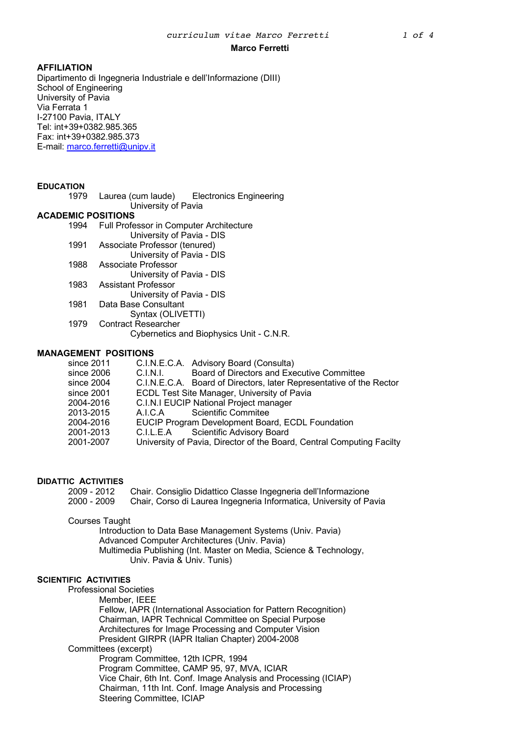# **AFFILIATION**

Dipartimento di Ingegneria Industriale e dell'Informazione (DIII) School of Engineering University of Pavia Via Ferrata 1 I-27100 Pavia, ITALY Tel: int+39+0382.985.365 Fax: int+39+0382.985.373 E-mail: marco.ferretti@unipv.it

# **EDUCATION**

1979 Laurea (cum laude) Electronics Engineering University of Pavia

## **ACADEMIC POSITIONS**

- 1994 Full Professor in Computer Architecture University of Pavia - DIS
- 1991 Associate Professor (tenured)
	- University of Pavia DIS
- 1988 Associate Professor
- University of Pavia DIS 1983 Assistant Professor
- University of Pavia DIS
- 1981 Data Base Consultant
	- Syntax (OLIVETTI)
- 1979 Contract Researcher
	- Cybernetics and Biophysics Unit C.N.R.

# **MANAGEMENT POSITIONS**

| since 2011 |          | C.I.N.E.C.A. Advisory Board (Consulta)                                |
|------------|----------|-----------------------------------------------------------------------|
| since 2006 | C.I.N.I. | Board of Directors and Executive Committee                            |
| since 2004 |          | C.I.N.E.C.A. Board of Directors, later Representative of the Rector   |
| since 2001 |          | ECDL Test Site Manager, University of Pavia                           |
| 2004-2016  |          | C.I.N.I EUCIP National Project manager                                |
| 2013-2015  |          | A.I.C.A Scientific Commitee                                           |
| 2004-2016  |          | EUCIP Program Development Board, ECDL Foundation                      |
| 2001-2013  |          | C.I.L.E.A Scientific Advisory Board                                   |
| 2001-2007  |          | University of Pavia, Director of the Board, Central Computing Facilty |

# **DIDATTIC ACTIVITIES**

| $2009 - 2012$ | Chair. Consiglio Didattico Classe Ingegneria dell'Informazione     |
|---------------|--------------------------------------------------------------------|
| $2000 - 2009$ | Chair, Corso di Laurea Ingegneria Informatica, University of Pavia |

## Courses Taught

Introduction to Data Base Management Systems (Univ. Pavia) Advanced Computer Architectures (Univ. Pavia) Multimedia Publishing (Int. Master on Media, Science & Technology, Univ. Pavia & Univ. Tunis)

## **SCIENTIFIC ACTIVITIES**

Professional Societies

Member, IEEE

Fellow, IAPR (International Association for Pattern Recognition) Chairman, IAPR Technical Committee on Special Purpose Architectures for Image Processing and Computer Vision President GIRPR (IAPR Italian Chapter) 2004-2008

## Committees (excerpt)

Program Committee, 12th ICPR, 1994 Program Committee, CAMP 95, 97, MVA, ICIAR Vice Chair, 6th Int. Conf. Image Analysis and Processing (ICIAP) Chairman, 11th Int. Conf. Image Analysis and Processing Steering Committee, ICIAP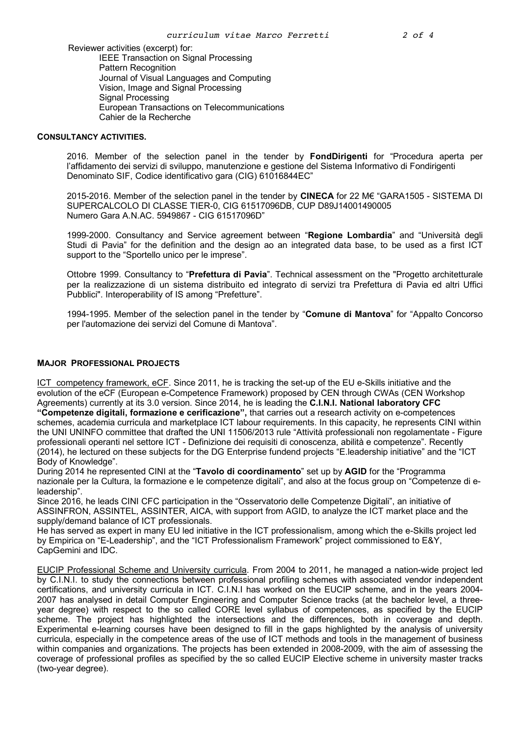Reviewer activities (excerpt) for: IEEE Transaction on Signal Processing Pattern Recognition Journal of Visual Languages and Computing Vision, Image and Signal Processing Signal Processing European Transactions on Telecommunications Cahier de la Recherche

#### **CONSULTANCY ACTIVITIES.**

2016. Member of the selection panel in the tender by **FondDirigenti** for "Procedura aperta per l'affidamento dei servizi di sviluppo, manutenzione e gestione del Sistema Informativo di Fondirigenti Denominato SIF, Codice identificativo gara (CIG) 61016844EC"

2015-2016. Member of the selection panel in the tender by **CINECA** for 22 M€ "GARA1505 - SISTEMA DI SUPERCALCOLO DI CLASSE TIER-0, CIG 61517096DB, CUP D89J14001490005 Numero Gara A.N.AC. 5949867 - CIG 61517096D"

1999-2000. Consultancy and Service agreement between "**Regione Lombardia**" and "Università degli Studi di Pavia" for the definition and the design ao an integrated data base, to be used as a first ICT support to the "Sportello unico per le imprese".

Ottobre 1999. Consultancy to "**Prefettura di Pavia**". Technical assessment on the "Progetto architetturale per la realizzazione di un sistema distribuito ed integrato di servizi tra Prefettura di Pavia ed altri Uffici Pubblici". Interoperability of IS among "Prefetture".

1994-1995. Member of the selection panel in the tender by "**Comune di Mantova**" for "Appalto Concorso per l'automazione dei servizi del Comune di Mantova".

## **MAJOR PROFESSIONAL PROJECTS**

ICT competency framework, eCF. Since 2011, he is tracking the set-up of the EU e-Skills initiative and the evolution of the eCF (European e-Competence Framework) proposed by CEN through CWAs (CEN Workshop Agreements) currently at its 3.0 version. Since 2014, he is leading the **C.I.N.I. National laboratory CFC "Competenze digitali, formazione e cerificazione",** that carries out a research activity on e-competences schemes, academia curricula and marketplace ICT labour requirements. In this capacity, he represents CINI within the UNI UNINFO committee that drafted the UNI 11506/2013 rule "Attività professionali non regolamentate - Figure professionali operanti nel settore ICT - Definizione dei requisiti di conoscenza, abilità e competenze". Recently (2014), he lectured on these subjects for the DG Enterprise fundend projects "E.leadership initiative" and the "ICT Body of Knowledge".

During 2014 he represented CINI at the "**Tavolo di coordinamento**" set up by **AGID** for the "Programma nazionale per la Cultura, la formazione e le competenze digitali", and also at the focus group on "Competenze di eleadership".

Since 2016, he leads CINI CFC participation in the "Osservatorio delle Competenze Digitali", an initiative of ASSINFRON, ASSINTEL, ASSINTER, AICA, with support from AGID, to analyze the ICT market place and the supply/demand balance of ICT professionals.

He has served as expert in many EU led initiative in the ICT professionalism, among which the e-Skills project led by Empirica on "E-Leadership", and the "ICT Professionalism Framework" project commissioned to E&Y, CapGemini and IDC.

EUCIP Professional Scheme and University curricula. From 2004 to 2011, he managed a nation-wide project led by C.I.N.I. to study the connections between professional profiling schemes with associated vendor independent certifications, and university curricula in ICT. C.I.N.I has worked on the EUCIP scheme, and in the years 2004- 2007 has analysed in detail Computer Engineering and Computer Science tracks (at the bachelor level, a threeyear degree) with respect to the so called CORE level syllabus of competences, as specified by the EUCIP scheme. The project has highlighted the intersections and the differences, both in coverage and depth. Experimental e-learning courses have been designed to fill in the gaps highlighted by the analysis of university curricula, especially in the competence areas of the use of ICT methods and tools in the management of business within companies and organizations. The projects has been extended in 2008-2009, with the aim of assessing the coverage of professional profiles as specified by the so called EUCIP Elective scheme in university master tracks (two-year degree).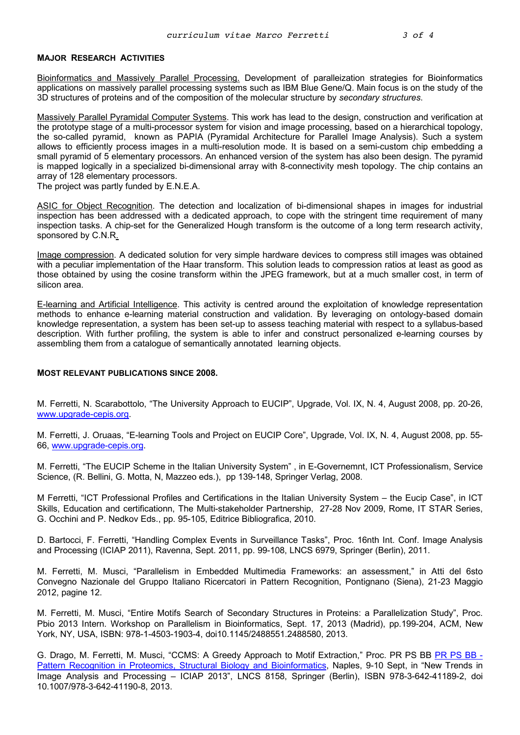## **MAJOR RESEARCH ACTIVITIES**

Bioinformatics and Massively Parallel Processing. Development of paralleization strategies for Bioinformatics applications on massively parallel processing systems such as IBM Blue Gene/Q. Main focus is on the study of the 3D structures of proteins and of the composition of the molecular structure by *secondary structures*.

Massively Parallel Pyramidal Computer Systems. This work has lead to the design, construction and verification at the prototype stage of a multi-processor system for vision and image processing, based on a hierarchical topology, the so-called pyramid, known as PAPIA (Pyramidal Architecture for Parallel Image Analysis). Such a system allows to efficiently process images in a multi-resolution mode. It is based on a semi-custom chip embedding a small pyramid of 5 elementary processors. An enhanced version of the system has also been design. The pyramid is mapped logically in a specialized bi-dimensional array with 8-connectivity mesh topology. The chip contains an array of 128 elementary processors.

The project was partly funded by E.N.E.A.

ASIC for Object Recognition. The detection and localization of bi-dimensional shapes in images for industrial inspection has been addressed with a dedicated approach, to cope with the stringent time requirement of many inspection tasks. A chip-set for the Generalized Hough transform is the outcome of a long term research activity, sponsored by C.N.R.

Image compression. A dedicated solution for very simple hardware devices to compress still images was obtained with a peculiar implementation of the Haar transform. This solution leads to compression ratios at least as good as those obtained by using the cosine transform within the JPEG framework, but at a much smaller cost, in term of silicon area.

E-learning and Artificial Intelligence. This activity is centred around the exploitation of knowledge representation methods to enhance e-learning material construction and validation. By leveraging on ontology-based domain knowledge representation, a system has been set-up to assess teaching material with respect to a syllabus-based description. With further profiling, the system is able to infer and construct personalized e-learning courses by assembling them from a catalogue of semantically annotated learning objects.

#### **MOST RELEVANT PUBLICATIONS SINCE 2008.**

M. Ferretti, N. Scarabottolo, "The University Approach to EUCIP", Upgrade, Vol. IX, N. 4, August 2008, pp. 20-26, www.upgrade-cepis.org.

M. Ferretti, J. Oruaas, "E-learning Tools and Project on EUCIP Core", Upgrade, Vol. IX, N. 4, August 2008, pp. 55- 66, www.upgrade-cepis.org.

M. Ferretti, "The EUCIP Scheme in the Italian University System" , in E-Governemnt, ICT Professionalism, Service Science, (R. Bellini, G. Motta, N, Mazzeo eds.), pp 139-148, Springer Verlag, 2008.

M Ferretti, "ICT Professional Profiles and Certifications in the Italian University System – the Eucip Case", in ICT Skills, Education and certificationn, The Multi-stakeholder Partnership, 27-28 Nov 2009, Rome, IT STAR Series, G. Occhini and P. Nedkov Eds., pp. 95-105, Editrice Bibliografica, 2010.

D. Bartocci, F. Ferretti, "Handling Complex Events in Surveillance Tasks", Proc. 16nth Int. Conf. Image Analysis and Processing (ICIAP 2011), Ravenna, Sept. 2011, pp. 99-108, LNCS 6979, Springer (Berlin), 2011.

M. Ferretti, M. Musci, "Parallelism in Embedded Multimedia Frameworks: an assessment," in Atti del 6sto Convegno Nazionale del Gruppo Italiano Ricercatori in Pattern Recognition, Pontignano (Siena), 21-23 Maggio 2012, pagine 12.

M. Ferretti, M. Musci, "Entire Motifs Search of Secondary Structures in Proteins: a Parallelization Study", Proc. Pbio 2013 Intern. Workshop on Parallelism in Bioinformatics, Sept. 17, 2013 (Madrid), pp.199-204, ACM, New York, NY, USA, ISBN: 978-1-4503-1903-4, doi10.1145/2488551.2488580, 2013.

G. Drago, M. Ferretti, M. Musci, "CCMS: A Greedy Approach to Motif Extraction," Proc. PR PS BB PR PS BB - Pattern Recognition in Proteomics, Structural Biology and Bioinformatics, Naples, 9-10 Sept, in "New Trends in Image Analysis and Processing – ICIAP 2013", LNCS 8158, Springer (Berlin), ISBN 978-3-642-41189-2, doi 10.1007/978-3-642-41190-8, 2013.